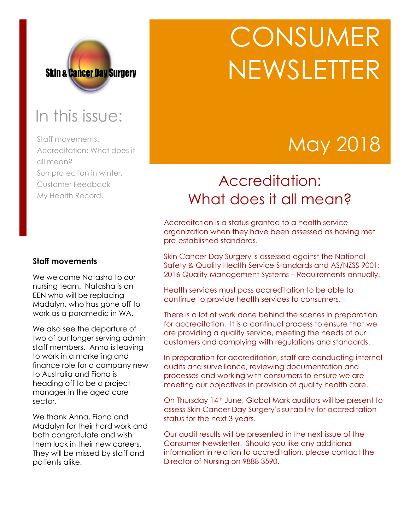

## In this issue:

Staff movements. Accreditation: What does it all mean? Sun protection in winter. Customer Feedback My Health Record.

# **CONSUMER** NEWSLETTER

## May 2018

### Accreditation: What does it all mean?

Accreditation is a status granted to a health service organization when they have been assessed as having met pre-established standards.

Skin Cancer Day Surgery is assessed against the National Safety & Quality Health Service Standards and AS/NZSS 9001: 2016 Quality Management Systems – Requirements annually.

Health services must pass accreditation to be able to continue to provide health services to consumers.

There is a lot of work done behind the scenes in preparation for accreditation. It is a continual process to ensure that we are providing a quality service, meeting the needs of our customers and complying with regulations and standards.

In preparation for accreditation, staff are conducting internal audits and surveillance, reviewing documentation and processes and working with consumers to ensure we are meeting our objectives in provision of quality health care.

On Thursday 14th June, Global Mark auditors will be present to assess Skin Cancer Day Surgery's suitability for accreditation status for the next 3 years.

Our audit results will be presented in the next issue of the Consumer Newsletter. Should you like any additional information in relation to accreditation, please contact the Director of Nursing on 9888 3590.

#### **Staff movements**

We welcome Natasha to our nursing team. Natasha is an EEN who will be replacing Madalyn, who has gone off to work as a paramedic in WA.

We also see the departure of two of our longer serving admin staff members. Anna is leaving to work in a marketing and finance role for a company new to Australia and Fiona is heading off to be a project manager in the aged care sector.

We thank Anna, Fiona and Madalyn for their hard work and both congratulate and wish them luck in their new careers. They will be missed by staff and patients alike.